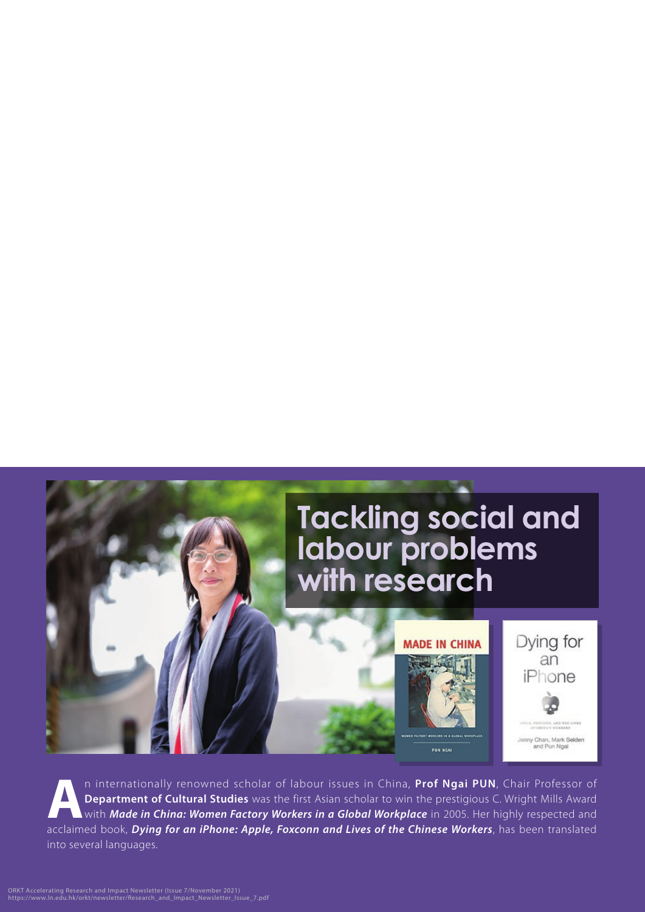

**A**n internationally renowned scholar of labour issues in China, **Prof Ngai PUN**, Chair Professor of **Department of Cultural Studies** was the first Asian scholar to win the prestigious C. Wright Mills Award with *Made in China: Women Factory Workers in a Global Workplace* in 2005. Her highly respected and acclaimed book, *Dying for an iPhone: Apple, Foxconn and Lives of the Chinese Workers*, has been translated into several languages.